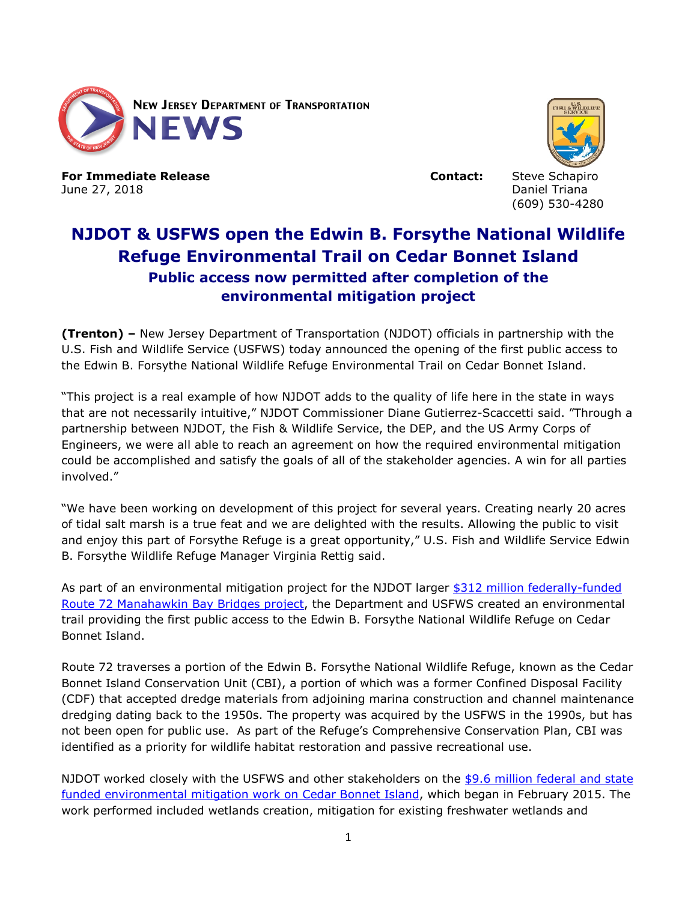

**For Immediate Release**  The Contact: Steve Schapiro June 27, 2018 Daniel Triana

(609) 530-4280

# **NJDOT & USFWS open the Edwin B. Forsythe National Wildlife Refuge Environmental Trail on Cedar Bonnet Island Public access now permitted after completion of the environmental mitigation project**

**(Trenton) –** New Jersey Department of Transportation (NJDOT) officials in partnership with the U.S. Fish and Wildlife Service (USFWS) today announced the opening of the first public access to the Edwin B. Forsythe National Wildlife Refuge Environmental Trail on Cedar Bonnet Island.

"This project is a real example of how NJDOT adds to the quality of life here in the state in ways that are not necessarily intuitive," NJDOT Commissioner Diane Gutierrez-Scaccetti said. "Through a partnership between NJDOT, the Fish & Wildlife Service, the DEP, and the US Army Corps of Engineers, we were all able to reach an agreement on how the required environmental mitigation could be accomplished and satisfy the goals of all of the stakeholder agencies. A win for all parties involved."

"We have been working on development of this project for several years. Creating nearly 20 acres of tidal salt marsh is a true feat and we are delighted with the results. Allowing the public to visit and enjoy this part of Forsythe Refuge is a great opportunity," U.S. Fish and Wildlife Service Edwin B. Forsythe Wildlife Refuge Manager Virginia Rettig said.

As part of an environmental mitigation project for the NJDOT larger [\\$312 million federally-funded](http://www.state.nj.us/transportation/commuter/roads/rte72manahawkinbaybridges/)  [Route 72 Manahawkin Bay Bridges project,](http://www.state.nj.us/transportation/commuter/roads/rte72manahawkinbaybridges/) the Department and USFWS created an environmental trail providing the first public access to the Edwin B. Forsythe National Wildlife Refuge on Cedar Bonnet Island.

Route 72 traverses a portion of the Edwin B. Forsythe National Wildlife Refuge, known as the Cedar Bonnet Island Conservation Unit (CBI), a portion of which was a former Confined Disposal Facility (CDF) that accepted dredge materials from adjoining marina construction and channel maintenance dredging dating back to the 1950s. The property was acquired by the USFWS in the 1990s, but has not been open for public use. As part of the Refuge's Comprehensive Conservation Plan, CBI was identified as a priority for wildlife habitat restoration and passive recreational use.

NJDOT worked closely with the USFWS and other stakeholders on the  $$9.6$  million federal and state [funded environmental mitigation work on Cedar Bonnet Island,](http://www.state.nj.us/transportation/commuter/roads/rte72manahawkinbaybridges/contracts.shtm) which began in February 2015. The work performed included wetlands creation, mitigation for existing freshwater wetlands and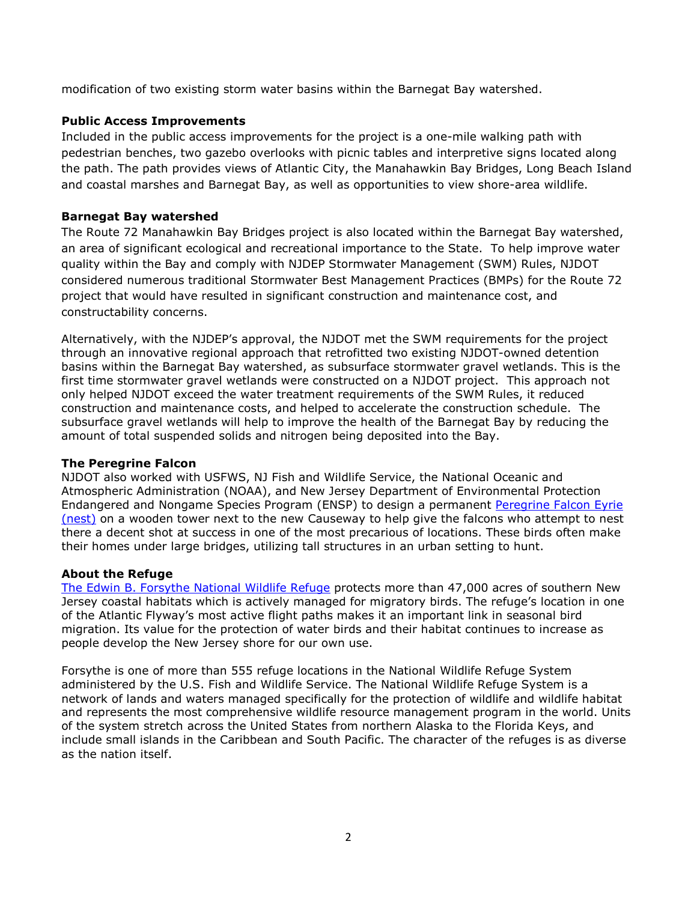modification of two existing storm water basins within the Barnegat Bay watershed.

## **Public Access Improvements**

Included in the public access improvements for the project is a one-mile walking path with pedestrian benches, two gazebo overlooks with picnic tables and interpretive signs located along the path. The path provides views of Atlantic City, the Manahawkin Bay Bridges, Long Beach Island and coastal marshes and Barnegat Bay, as well as opportunities to view shore-area wildlife.

## **Barnegat Bay watershed**

The Route 72 Manahawkin Bay Bridges project is also located within the Barnegat Bay watershed, an area of significant ecological and recreational importance to the State. To help improve water quality within the Bay and comply with NJDEP Stormwater Management (SWM) Rules, NJDOT considered numerous traditional Stormwater Best Management Practices (BMPs) for the Route 72 project that would have resulted in significant construction and maintenance cost, and constructability concerns.

Alternatively, with the NJDEP's approval, the NJDOT met the SWM requirements for the project through an innovative regional approach that retrofitted two existing NJDOT-owned detention basins within the Barnegat Bay watershed, as subsurface stormwater gravel wetlands. This is the first time stormwater gravel wetlands were constructed on a NJDOT project. This approach not only helped NJDOT exceed the water treatment requirements of the SWM Rules, it reduced construction and maintenance costs, and helped to accelerate the construction schedule. The subsurface gravel wetlands will help to improve the health of the Barnegat Bay by reducing the amount of total suspended solids and nitrogen being deposited into the Bay.

## **The Peregrine Falcon**

NJDOT also worked with USFWS, NJ Fish and Wildlife Service, the National Oceanic and Atmospheric Administration (NOAA), and New Jersey Department of Environmental Protection Endangered and Nongame Species Program (ENSP) to design a permanent Peregrine Falcon Eyrie [\(nest\)](http://www.state.nj.us/transportation/commuter/roads/rte72manahawkinbaybridges/falcon.shtm) on a wooden tower next to the new Causeway to help give the falcons who attempt to nest there a decent shot at success in one of the most precarious of locations. These birds often make their homes under large bridges, utilizing tall structures in an urban setting to hunt.

## **About the Refuge**

[The Edwin B. Forsythe National Wildlife Refuge](https://www.fws.gov/refuge/Edwin_B_Forsythe/about.html) protects more than 47,000 acres of southern New Jersey coastal habitats which is actively managed for migratory birds. The refuge's location in one of the Atlantic Flyway's most active flight paths makes it an important link in seasonal bird migration. Its value for the protection of water birds and their habitat continues to increase as people develop the New Jersey shore for our own use.

Forsythe is one of more than 555 refuge locations in the National Wildlife Refuge System administered by the U.S. Fish and Wildlife Service. The National Wildlife Refuge System is a network of lands and waters managed specifically for the protection of wildlife and wildlife habitat and represents the most comprehensive wildlife resource management program in the world. Units of the system stretch across the United States from northern Alaska to the Florida Keys, and include small islands in the Caribbean and South Pacific. The character of the refuges is as diverse as the nation itself.